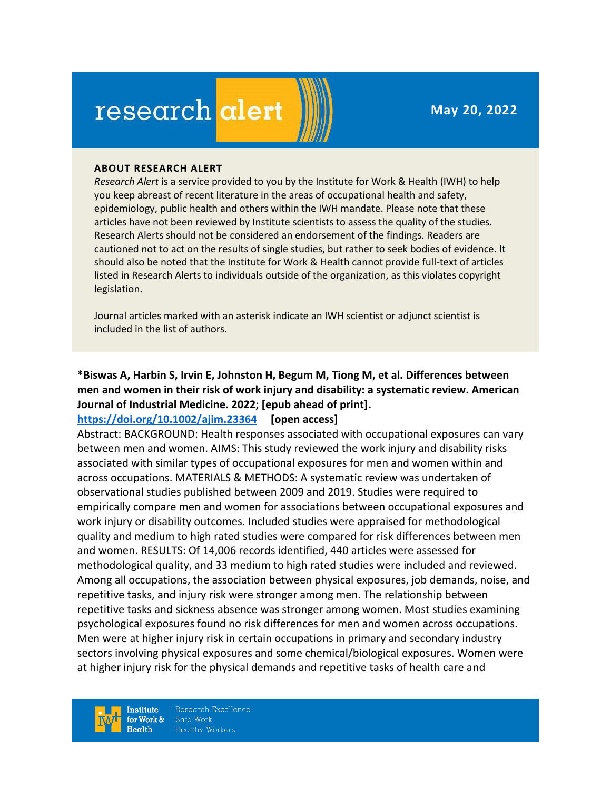**May 20, 2022**

# research alert

#### **ABOUT RESEARCH ALERT**

*Research Alert* is a service provided to you by the Institute for Work & Health (IWH) to help you keep abreast of recent literature in the areas of occupational health and safety, epidemiology, public health and others within the IWH mandate. Please note that these articles have not been reviewed by Institute scientists to assess the quality of the studies. Research Alerts should not be considered an endorsement of the findings. Readers are cautioned not to act on the results of single studies, but rather to seek bodies of evidence. It should also be noted that the Institute for Work & Health cannot provide full-text of articles listed in Research Alerts to individuals outside of the organization, as this violates copyright legislation.

Journal articles marked with an asterisk indicate an IWH scientist or adjunct scientist is included in the list of authors.

### **\*Biswas A, Harbin S, Irvin E, Johnston H, Begum M, Tiong M, et al. Differences between men and women in their risk of work injury and disability: a systematic review. American Journal of Industrial Medicine. 2022; [epub ahead of print].**

#### **<https://doi.org/10.1002/ajim.23364> [open access]**

Abstract: BACKGROUND: Health responses associated with occupational exposures can vary between men and women. AIMS: This study reviewed the work injury and disability risks associated with similar types of occupational exposures for men and women within and across occupations. MATERIALS & METHODS: A systematic review was undertaken of observational studies published between 2009 and 2019. Studies were required to empirically compare men and women for associations between occupational exposures and work injury or disability outcomes. Included studies were appraised for methodological quality and medium to high rated studies were compared for risk differences between men and women. RESULTS: Of 14,006 records identified, 440 articles were assessed for methodological quality, and 33 medium to high rated studies were included and reviewed. Among all occupations, the association between physical exposures, job demands, noise, and repetitive tasks, and injury risk were stronger among men. The relationship between repetitive tasks and sickness absence was stronger among women. Most studies examining psychological exposures found no risk differences for men and women across occupations. Men were at higher injury risk in certain occupations in primary and secondary industry sectors involving physical exposures and some chemical/biological exposures. Women were at higher injury risk for the physical demands and repetitive tasks of health care and

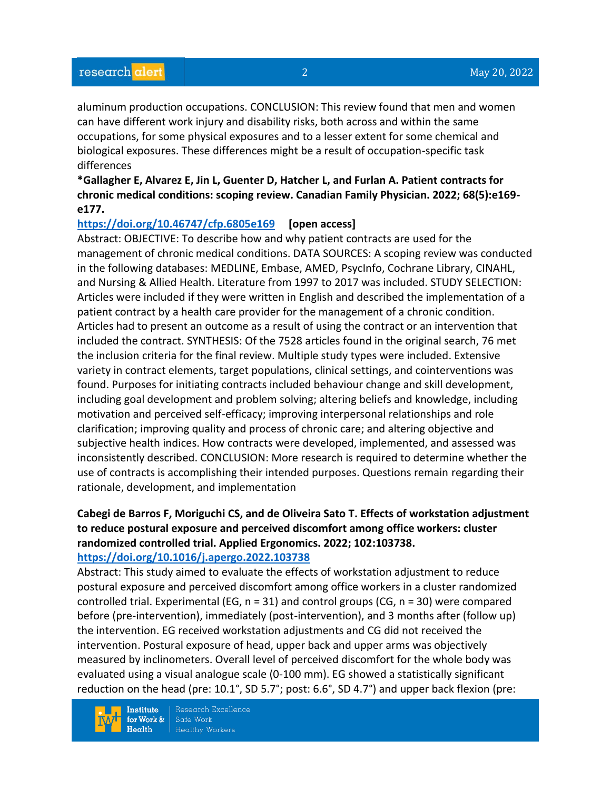aluminum production occupations. CONCLUSION: This review found that men and women can have different work injury and disability risks, both across and within the same occupations, for some physical exposures and to a lesser extent for some chemical and biological exposures. These differences might be a result of occupation-specific task differences

**\*Gallagher E, Alvarez E, Jin L, Guenter D, Hatcher L, and Furlan A. Patient contracts for chronic medical conditions: scoping review. Canadian Family Physician. 2022; 68(5):e169 e177.** 

#### **<https://doi.org/10.46747/cfp.6805e169> [open access]**

Abstract: OBJECTIVE: To describe how and why patient contracts are used for the management of chronic medical conditions. DATA SOURCES: A scoping review was conducted in the following databases: MEDLINE, Embase, AMED, PsycInfo, Cochrane Library, CINAHL, and Nursing & Allied Health. Literature from 1997 to 2017 was included. STUDY SELECTION: Articles were included if they were written in English and described the implementation of a patient contract by a health care provider for the management of a chronic condition. Articles had to present an outcome as a result of using the contract or an intervention that included the contract. SYNTHESIS: Of the 7528 articles found in the original search, 76 met the inclusion criteria for the final review. Multiple study types were included. Extensive variety in contract elements, target populations, clinical settings, and cointerventions was found. Purposes for initiating contracts included behaviour change and skill development, including goal development and problem solving; altering beliefs and knowledge, including motivation and perceived self-efficacy; improving interpersonal relationships and role clarification; improving quality and process of chronic care; and altering objective and subjective health indices. How contracts were developed, implemented, and assessed was inconsistently described. CONCLUSION: More research is required to determine whether the use of contracts is accomplishing their intended purposes. Questions remain regarding their rationale, development, and implementation

#### **Cabegi de Barros F, Moriguchi CS, and de Oliveira Sato T. Effects of workstation adjustment to reduce postural exposure and perceived discomfort among office workers: cluster randomized controlled trial. Applied Ergonomics. 2022; 102:103738. <https://doi.org/10.1016/j.apergo.2022.103738>**

Abstract: This study aimed to evaluate the effects of workstation adjustment to reduce postural exposure and perceived discomfort among office workers in a cluster randomized controlled trial. Experimental (EG,  $n = 31$ ) and control groups (CG,  $n = 30$ ) were compared before (pre-intervention), immediately (post-intervention), and 3 months after (follow up) the intervention. EG received workstation adjustments and CG did not received the intervention. Postural exposure of head, upper back and upper arms was objectively measured by inclinometers. Overall level of perceived discomfort for the whole body was evaluated using a visual analogue scale (0-100 mm). EG showed a statistically significant reduction on the head (pre: 10.1°, SD 5.7°; post: 6.6°, SD 4.7°) and upper back flexion (pre:

**Institute** for Work &  $Health$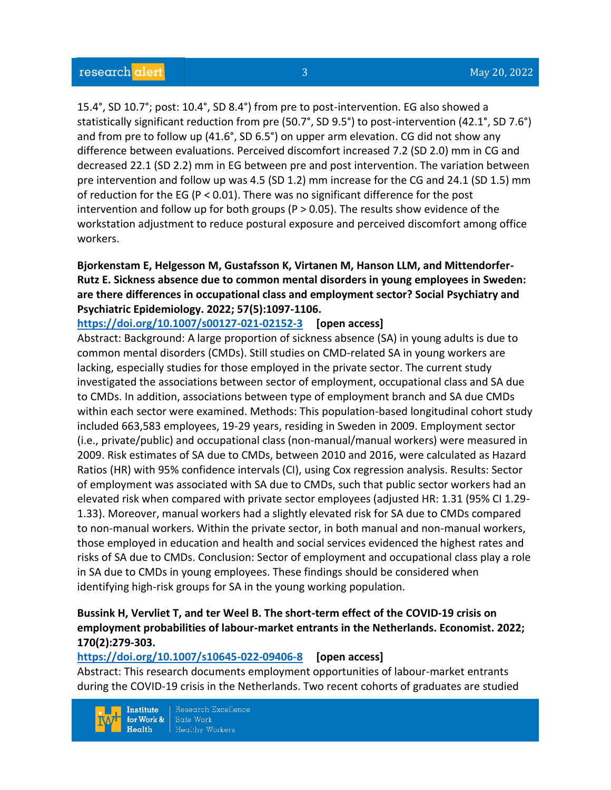15.4°, SD 10.7°; post: 10.4°, SD 8.4°) from pre to post-intervention. EG also showed a statistically significant reduction from pre (50.7°, SD 9.5°) to post-intervention (42.1°, SD 7.6°) and from pre to follow up (41.6°, SD 6.5°) on upper arm elevation. CG did not show any difference between evaluations. Perceived discomfort increased 7.2 (SD 2.0) mm in CG and decreased 22.1 (SD 2.2) mm in EG between pre and post intervention. The variation between pre intervention and follow up was 4.5 (SD 1.2) mm increase for the CG and 24.1 (SD 1.5) mm of reduction for the EG ( $P < 0.01$ ). There was no significant difference for the post intervention and follow up for both groups ( $P > 0.05$ ). The results show evidence of the workstation adjustment to reduce postural exposure and perceived discomfort among office workers.

#### **Bjorkenstam E, Helgesson M, Gustafsson K, Virtanen M, Hanson LLM, and Mittendorfer-Rutz E. Sickness absence due to common mental disorders in young employees in Sweden: are there differences in occupational class and employment sector? Social Psychiatry and Psychiatric Epidemiology. 2022; 57(5):1097-1106.**

**<https://doi.org/10.1007/s00127-021-02152-3> [open access]**

Abstract: Background: A large proportion of sickness absence (SA) in young adults is due to common mental disorders (CMDs). Still studies on CMD-related SA in young workers are lacking, especially studies for those employed in the private sector. The current study investigated the associations between sector of employment, occupational class and SA due to CMDs. In addition, associations between type of employment branch and SA due CMDs within each sector were examined. Methods: This population-based longitudinal cohort study included 663,583 employees, 19-29 years, residing in Sweden in 2009. Employment sector (i.e., private/public) and occupational class (non-manual/manual workers) were measured in 2009. Risk estimates of SA due to CMDs, between 2010 and 2016, were calculated as Hazard Ratios (HR) with 95% confidence intervals (CI), using Cox regression analysis. Results: Sector of employment was associated with SA due to CMDs, such that public sector workers had an elevated risk when compared with private sector employees (adjusted HR: 1.31 (95% CI 1.29- 1.33). Moreover, manual workers had a slightly elevated risk for SA due to CMDs compared to non-manual workers. Within the private sector, in both manual and non-manual workers, those employed in education and health and social services evidenced the highest rates and risks of SA due to CMDs. Conclusion: Sector of employment and occupational class play a role in SA due to CMDs in young employees. These findings should be considered when identifying high-risk groups for SA in the young working population.

#### **Bussink H, Vervliet T, and ter Weel B. The short-term effect of the COVID-19 crisis on employment probabilities of labour-market entrants in the Netherlands. Economist. 2022; 170(2):279-303.**

#### **<https://doi.org/10.1007/s10645-022-09406-8> [open access]**

Abstract: This research documents employment opportunities of labour-market entrants during the COVID-19 crisis in the Netherlands. Two recent cohorts of graduates are studied

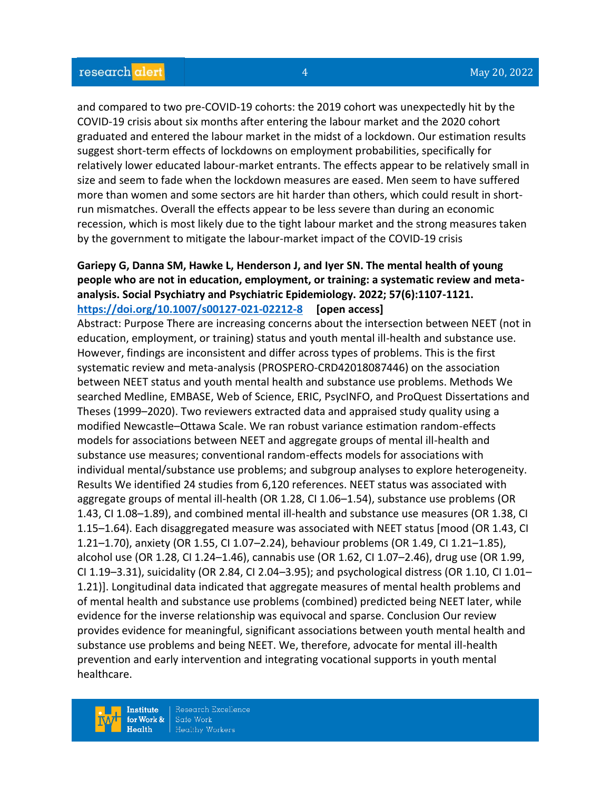and compared to two pre-COVID-19 cohorts: the 2019 cohort was unexpectedly hit by the COVID-19 crisis about six months after entering the labour market and the 2020 cohort graduated and entered the labour market in the midst of a lockdown. Our estimation results suggest short-term effects of lockdowns on employment probabilities, specifically for relatively lower educated labour-market entrants. The effects appear to be relatively small in size and seem to fade when the lockdown measures are eased. Men seem to have suffered more than women and some sectors are hit harder than others, which could result in shortrun mismatches. Overall the effects appear to be less severe than during an economic recession, which is most likely due to the tight labour market and the strong measures taken by the government to mitigate the labour-market impact of the COVID-19 crisis

#### **Gariepy G, Danna SM, Hawke L, Henderson J, and Iyer SN. The mental health of young people who are not in education, employment, or training: a systematic review and metaanalysis. Social Psychiatry and Psychiatric Epidemiology. 2022; 57(6):1107-1121. <https://doi.org/10.1007/s00127-021-02212-8> [open access]**

Abstract: Purpose There are increasing concerns about the intersection between NEET (not in education, employment, or training) status and youth mental ill-health and substance use. However, findings are inconsistent and differ across types of problems. This is the first systematic review and meta-analysis (PROSPERO-CRD42018087446) on the association between NEET status and youth mental health and substance use problems. Methods We searched Medline, EMBASE, Web of Science, ERIC, PsycINFO, and ProQuest Dissertations and Theses (1999–2020). Two reviewers extracted data and appraised study quality using a modified Newcastle–Ottawa Scale. We ran robust variance estimation random-effects models for associations between NEET and aggregate groups of mental ill-health and substance use measures; conventional random-effects models for associations with individual mental/substance use problems; and subgroup analyses to explore heterogeneity. Results We identified 24 studies from 6,120 references. NEET status was associated with aggregate groups of mental ill-health (OR 1.28, CI 1.06–1.54), substance use problems (OR 1.43, CI 1.08–1.89), and combined mental ill-health and substance use measures (OR 1.38, CI 1.15–1.64). Each disaggregated measure was associated with NEET status [mood (OR 1.43, CI 1.21–1.70), anxiety (OR 1.55, CI 1.07–2.24), behaviour problems (OR 1.49, CI 1.21–1.85), alcohol use (OR 1.28, CI 1.24–1.46), cannabis use (OR 1.62, CI 1.07–2.46), drug use (OR 1.99, CI 1.19–3.31), suicidality (OR 2.84, CI 2.04–3.95); and psychological distress (OR 1.10, CI 1.01– 1.21)]. Longitudinal data indicated that aggregate measures of mental health problems and of mental health and substance use problems (combined) predicted being NEET later, while evidence for the inverse relationship was equivocal and sparse. Conclusion Our review provides evidence for meaningful, significant associations between youth mental health and substance use problems and being NEET. We, therefore, advocate for mental ill-health prevention and early intervention and integrating vocational supports in youth mental healthcare.

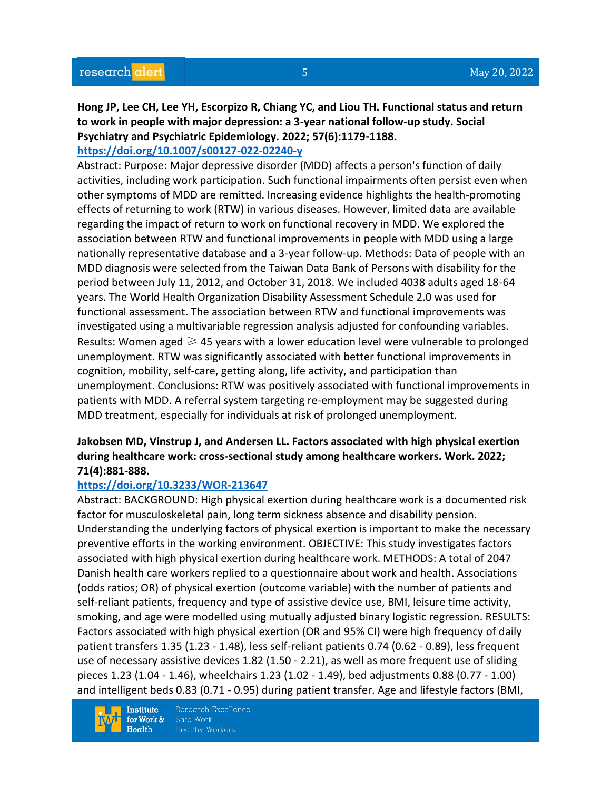## **Hong JP, Lee CH, Lee YH, Escorpizo R, Chiang YC, and Liou TH. Functional status and return to work in people with major depression: a 3-year national follow-up study. Social Psychiatry and Psychiatric Epidemiology. 2022; 57(6):1179-1188.**

#### **<https://doi.org/10.1007/s00127-022-02240-y>**

Abstract: Purpose: Major depressive disorder (MDD) affects a person's function of daily activities, including work participation. Such functional impairments often persist even when other symptoms of MDD are remitted. Increasing evidence highlights the health-promoting effects of returning to work (RTW) in various diseases. However, limited data are available regarding the impact of return to work on functional recovery in MDD. We explored the association between RTW and functional improvements in people with MDD using a large nationally representative database and a 3-year follow-up. Methods: Data of people with an MDD diagnosis were selected from the Taiwan Data Bank of Persons with disability for the period between July 11, 2012, and October 31, 2018. We included 4038 adults aged 18-64 years. The World Health Organization Disability Assessment Schedule 2.0 was used for functional assessment. The association between RTW and functional improvements was investigated using a multivariable regression analysis adjusted for confounding variables. Results: Women aged  $\geq 45$  years with a lower education level were vulnerable to prolonged unemployment. RTW was significantly associated with better functional improvements in cognition, mobility, self-care, getting along, life activity, and participation than unemployment. Conclusions: RTW was positively associated with functional improvements in patients with MDD. A referral system targeting re-employment may be suggested during MDD treatment, especially for individuals at risk of prolonged unemployment.

#### **Jakobsen MD, Vinstrup J, and Andersen LL. Factors associated with high physical exertion during healthcare work: cross-sectional study among healthcare workers. Work. 2022; 71(4):881-888.**

#### **<https://doi.org/10.3233/WOR-213647>**

Abstract: BACKGROUND: High physical exertion during healthcare work is a documented risk factor for musculoskeletal pain, long term sickness absence and disability pension. Understanding the underlying factors of physical exertion is important to make the necessary preventive efforts in the working environment. OBJECTIVE: This study investigates factors associated with high physical exertion during healthcare work. METHODS: A total of 2047 Danish health care workers replied to a questionnaire about work and health. Associations (odds ratios; OR) of physical exertion (outcome variable) with the number of patients and self-reliant patients, frequency and type of assistive device use, BMI, leisure time activity, smoking, and age were modelled using mutually adjusted binary logistic regression. RESULTS: Factors associated with high physical exertion (OR and 95% CI) were high frequency of daily patient transfers 1.35 (1.23 - 1.48), less self-reliant patients 0.74 (0.62 - 0.89), less frequent use of necessary assistive devices 1.82 (1.50 - 2.21), as well as more frequent use of sliding pieces 1.23 (1.04 - 1.46), wheelchairs 1.23 (1.02 - 1.49), bed adjustments 0.88 (0.77 - 1.00) and intelligent beds 0.83 (0.71 - 0.95) during patient transfer. Age and lifestyle factors (BMI,

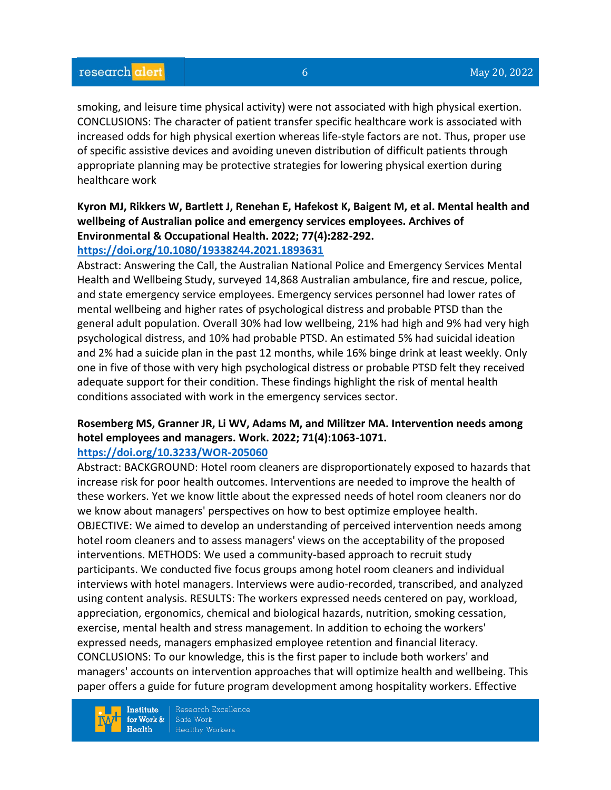smoking, and leisure time physical activity) were not associated with high physical exertion. CONCLUSIONS: The character of patient transfer specific healthcare work is associated with increased odds for high physical exertion whereas life-style factors are not. Thus, proper use of specific assistive devices and avoiding uneven distribution of difficult patients through appropriate planning may be protective strategies for lowering physical exertion during healthcare work

#### **Kyron MJ, Rikkers W, Bartlett J, Renehan E, Hafekost K, Baigent M, et al. Mental health and wellbeing of Australian police and emergency services employees. Archives of Environmental & Occupational Health. 2022; 77(4):282-292. <https://doi.org/10.1080/19338244.2021.1893631>**

#### Abstract: Answering the Call, the Australian National Police and Emergency Services Mental Health and Wellbeing Study, surveyed 14,868 Australian ambulance, fire and rescue, police, and state emergency service employees. Emergency services personnel had lower rates of mental wellbeing and higher rates of psychological distress and probable PTSD than the general adult population. Overall 30% had low wellbeing, 21% had high and 9% had very high psychological distress, and 10% had probable PTSD. An estimated 5% had suicidal ideation and 2% had a suicide plan in the past 12 months, while 16% binge drink at least weekly. Only one in five of those with very high psychological distress or probable PTSD felt they received adequate support for their condition. These findings highlight the risk of mental health conditions associated with work in the emergency services sector.

## **Rosemberg MS, Granner JR, Li WV, Adams M, and Militzer MA. Intervention needs among hotel employees and managers. Work. 2022; 71(4):1063-1071.**

#### **<https://doi.org/10.3233/WOR-205060>**

Abstract: BACKGROUND: Hotel room cleaners are disproportionately exposed to hazards that increase risk for poor health outcomes. Interventions are needed to improve the health of these workers. Yet we know little about the expressed needs of hotel room cleaners nor do we know about managers' perspectives on how to best optimize employee health. OBJECTIVE: We aimed to develop an understanding of perceived intervention needs among hotel room cleaners and to assess managers' views on the acceptability of the proposed interventions. METHODS: We used a community-based approach to recruit study participants. We conducted five focus groups among hotel room cleaners and individual interviews with hotel managers. Interviews were audio-recorded, transcribed, and analyzed using content analysis. RESULTS: The workers expressed needs centered on pay, workload, appreciation, ergonomics, chemical and biological hazards, nutrition, smoking cessation, exercise, mental health and stress management. In addition to echoing the workers' expressed needs, managers emphasized employee retention and financial literacy. CONCLUSIONS: To our knowledge, this is the first paper to include both workers' and managers' accounts on intervention approaches that will optimize health and wellbeing. This paper offers a guide for future program development among hospitality workers. Effective

**Institute** for Work &  $Health$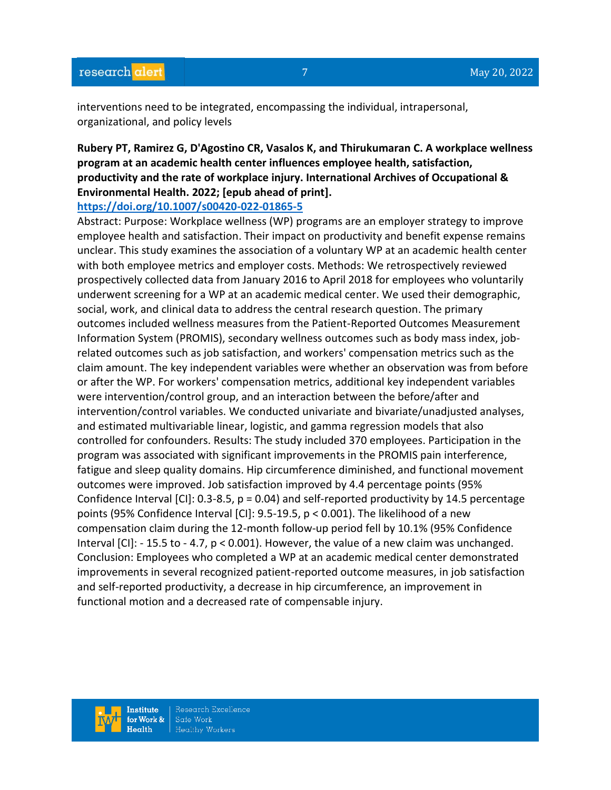interventions need to be integrated, encompassing the individual, intrapersonal, organizational, and policy levels

## **Rubery PT, Ramirez G, D'Agostino CR, Vasalos K, and Thirukumaran C. A workplace wellness program at an academic health center influences employee health, satisfaction, productivity and the rate of workplace injury. International Archives of Occupational & Environmental Health. 2022; [epub ahead of print].**

#### **<https://doi.org/10.1007/s00420-022-01865-5>**

Abstract: Purpose: Workplace wellness (WP) programs are an employer strategy to improve employee health and satisfaction. Their impact on productivity and benefit expense remains unclear. This study examines the association of a voluntary WP at an academic health center with both employee metrics and employer costs. Methods: We retrospectively reviewed prospectively collected data from January 2016 to April 2018 for employees who voluntarily underwent screening for a WP at an academic medical center. We used their demographic, social, work, and clinical data to address the central research question. The primary outcomes included wellness measures from the Patient-Reported Outcomes Measurement Information System (PROMIS), secondary wellness outcomes such as body mass index, jobrelated outcomes such as job satisfaction, and workers' compensation metrics such as the claim amount. The key independent variables were whether an observation was from before or after the WP. For workers' compensation metrics, additional key independent variables were intervention/control group, and an interaction between the before/after and intervention/control variables. We conducted univariate and bivariate/unadjusted analyses, and estimated multivariable linear, logistic, and gamma regression models that also controlled for confounders. Results: The study included 370 employees. Participation in the program was associated with significant improvements in the PROMIS pain interference, fatigue and sleep quality domains. Hip circumference diminished, and functional movement outcomes were improved. Job satisfaction improved by 4.4 percentage points (95% Confidence Interval [CI]: 0.3-8.5, p = 0.04) and self-reported productivity by 14.5 percentage points (95% Confidence Interval [CI]: 9.5-19.5, p < 0.001). The likelihood of a new compensation claim during the 12-month follow-up period fell by 10.1% (95% Confidence Interval [CI]: - 15.5 to - 4.7, p < 0.001). However, the value of a new claim was unchanged. Conclusion: Employees who completed a WP at an academic medical center demonstrated improvements in several recognized patient-reported outcome measures, in job satisfaction and self-reported productivity, a decrease in hip circumference, an improvement in functional motion and a decreased rate of compensable injury.

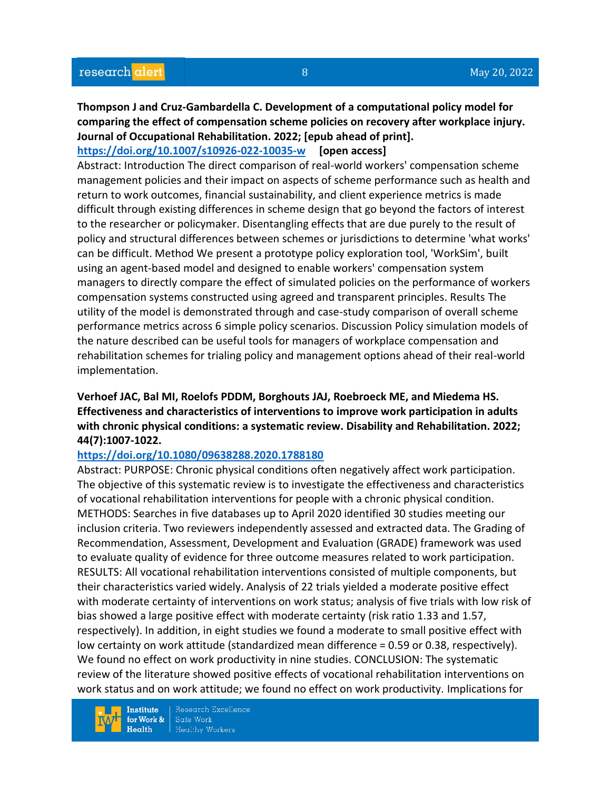#### **Thompson J and Cruz-Gambardella C. Development of a computational policy model for comparing the effect of compensation scheme policies on recovery after workplace injury. Journal of Occupational Rehabilitation. 2022; [epub ahead of print]. <https://doi.org/10.1007/s10926-022-10035-w> [open access]**

Abstract: Introduction The direct comparison of real-world workers' compensation scheme management policies and their impact on aspects of scheme performance such as health and return to work outcomes, financial sustainability, and client experience metrics is made difficult through existing differences in scheme design that go beyond the factors of interest to the researcher or policymaker. Disentangling effects that are due purely to the result of policy and structural differences between schemes or jurisdictions to determine 'what works' can be difficult. Method We present a prototype policy exploration tool, 'WorkSim', built using an agent-based model and designed to enable workers' compensation system managers to directly compare the effect of simulated policies on the performance of workers compensation systems constructed using agreed and transparent principles. Results The utility of the model is demonstrated through and case-study comparison of overall scheme performance metrics across 6 simple policy scenarios. Discussion Policy simulation models of the nature described can be useful tools for managers of workplace compensation and rehabilitation schemes for trialing policy and management options ahead of their real-world implementation.

#### **Verhoef JAC, Bal MI, Roelofs PDDM, Borghouts JAJ, Roebroeck ME, and Miedema HS. Effectiveness and characteristics of interventions to improve work participation in adults with chronic physical conditions: a systematic review. Disability and Rehabilitation. 2022; 44(7):1007-1022.**

#### **<https://doi.org/10.1080/09638288.2020.1788180>**

Abstract: PURPOSE: Chronic physical conditions often negatively affect work participation. The objective of this systematic review is to investigate the effectiveness and characteristics of vocational rehabilitation interventions for people with a chronic physical condition. METHODS: Searches in five databases up to April 2020 identified 30 studies meeting our inclusion criteria. Two reviewers independently assessed and extracted data. The Grading of Recommendation, Assessment, Development and Evaluation (GRADE) framework was used to evaluate quality of evidence for three outcome measures related to work participation. RESULTS: All vocational rehabilitation interventions consisted of multiple components, but their characteristics varied widely. Analysis of 22 trials yielded a moderate positive effect with moderate certainty of interventions on work status; analysis of five trials with low risk of bias showed a large positive effect with moderate certainty (risk ratio 1.33 and 1.57, respectively). In addition, in eight studies we found a moderate to small positive effect with low certainty on work attitude (standardized mean difference = 0.59 or 0.38, respectively). We found no effect on work productivity in nine studies. CONCLUSION: The systematic review of the literature showed positive effects of vocational rehabilitation interventions on work status and on work attitude; we found no effect on work productivity. Implications for

**Institute** for Work &  $Heath$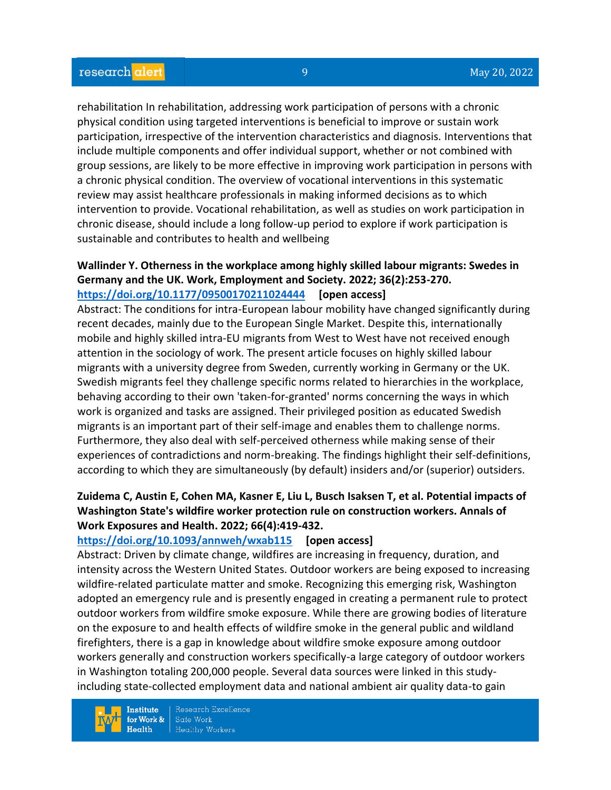rehabilitation In rehabilitation, addressing work participation of persons with a chronic physical condition using targeted interventions is beneficial to improve or sustain work participation, irrespective of the intervention characteristics and diagnosis. Interventions that include multiple components and offer individual support, whether or not combined with group sessions, are likely to be more effective in improving work participation in persons with a chronic physical condition. The overview of vocational interventions in this systematic review may assist healthcare professionals in making informed decisions as to which intervention to provide. Vocational rehabilitation, as well as studies on work participation in chronic disease, should include a long follow-up period to explore if work participation is sustainable and contributes to health and wellbeing

# **Wallinder Y. Otherness in the workplace among highly skilled labour migrants: Swedes in Germany and the UK. Work, Employment and Society. 2022; 36(2):253-270.**

#### **<https://doi.org/10.1177/09500170211024444> [open access]**

Abstract: The conditions for intra-European labour mobility have changed significantly during recent decades, mainly due to the European Single Market. Despite this, internationally mobile and highly skilled intra-EU migrants from West to West have not received enough attention in the sociology of work. The present article focuses on highly skilled labour migrants with a university degree from Sweden, currently working in Germany or the UK. Swedish migrants feel they challenge specific norms related to hierarchies in the workplace, behaving according to their own 'taken-for-granted' norms concerning the ways in which work is organized and tasks are assigned. Their privileged position as educated Swedish migrants is an important part of their self-image and enables them to challenge norms. Furthermore, they also deal with self-perceived otherness while making sense of their experiences of contradictions and norm-breaking. The findings highlight their self-definitions, according to which they are simultaneously (by default) insiders and/or (superior) outsiders.

### **Zuidema C, Austin E, Cohen MA, Kasner E, Liu L, Busch Isaksen T, et al. Potential impacts of Washington State's wildfire worker protection rule on construction workers. Annals of Work Exposures and Health. 2022; 66(4):419-432.**

#### **<https://doi.org/10.1093/annweh/wxab115> [open access]**

Abstract: Driven by climate change, wildfires are increasing in frequency, duration, and intensity across the Western United States. Outdoor workers are being exposed to increasing wildfire-related particulate matter and smoke. Recognizing this emerging risk, Washington adopted an emergency rule and is presently engaged in creating a permanent rule to protect outdoor workers from wildfire smoke exposure. While there are growing bodies of literature on the exposure to and health effects of wildfire smoke in the general public and wildland firefighters, there is a gap in knowledge about wildfire smoke exposure among outdoor workers generally and construction workers specifically-a large category of outdoor workers in Washington totaling 200,000 people. Several data sources were linked in this studyincluding state-collected employment data and national ambient air quality data-to gain

**Institute** for Work &  $Health$